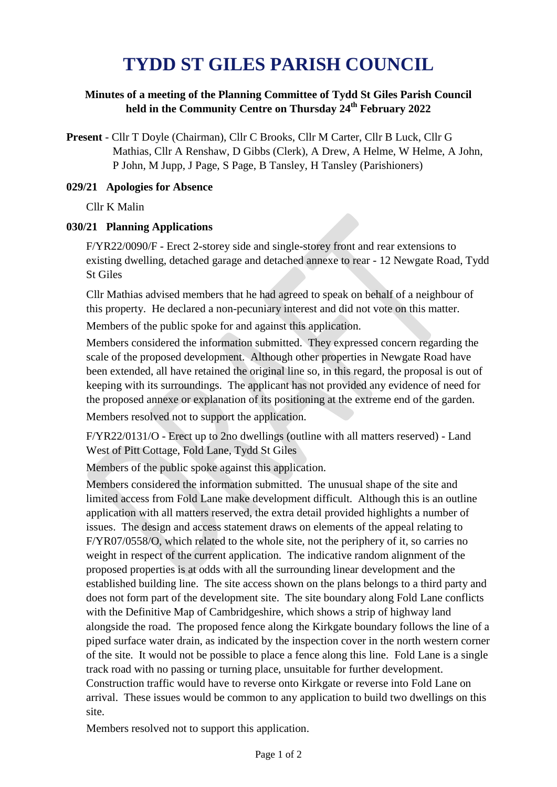# **TYDD ST GILES PARISH COUNCIL**

## **Minutes of a meeting of the Planning Committee of Tydd St Giles Parish Council held in the Community Centre on Thursday 24th February 2022**

**Present** - Cllr T Doyle (Chairman), Cllr C Brooks, Cllr M Carter, Cllr B Luck, Cllr G Mathias, Cllr A Renshaw, D Gibbs (Clerk), A Drew, A Helme, W Helme, A John, P John, M Jupp, J Page, S Page, B Tansley, H Tansley (Parishioners)

#### **029/21 Apologies for Absence**

Cllr K Malin

### **030/21 Planning Applications**

F/YR22/0090/F - Erect 2-storey side and single-storey front and rear extensions to existing dwelling, detached garage and detached annexe to rear - 12 Newgate Road, Tydd St Giles

Cllr Mathias advised members that he had agreed to speak on behalf of a neighbour of this property. He declared a non-pecuniary interest and did not vote on this matter.

Members of the public spoke for and against this application.

Members considered the information submitted. They expressed concern regarding the scale of the proposed development. Although other properties in Newgate Road have been extended, all have retained the original line so, in this regard, the proposal is out of keeping with its surroundings. The applicant has not provided any evidence of need for the proposed annexe or explanation of its positioning at the extreme end of the garden.

Members resolved not to support the application.

F/YR22/0131/O - Erect up to 2no dwellings (outline with all matters reserved) - Land West of Pitt Cottage, Fold Lane, Tydd St Giles

Members of the public spoke against this application.

Members considered the information submitted. The unusual shape of the site and limited access from Fold Lane make development difficult. Although this is an outline application with all matters reserved, the extra detail provided highlights a number of issues. The design and access statement draws on elements of the appeal relating to F/YR07/0558/O, which related to the whole site, not the periphery of it, so carries no weight in respect of the current application. The indicative random alignment of the proposed properties is at odds with all the surrounding linear development and the established building line. The site access shown on the plans belongs to a third party and does not form part of the development site. The site boundary along Fold Lane conflicts with the Definitive Map of Cambridgeshire, which shows a strip of highway land alongside the road. The proposed fence along the Kirkgate boundary follows the line of a piped surface water drain, as indicated by the inspection cover in the north western corner of the site. It would not be possible to place a fence along this line. Fold Lane is a single track road with no passing or turning place, unsuitable for further development. Construction traffic would have to reverse onto Kirkgate or reverse into Fold Lane on arrival. These issues would be common to any application to build two dwellings on this site.

Members resolved not to support this application.